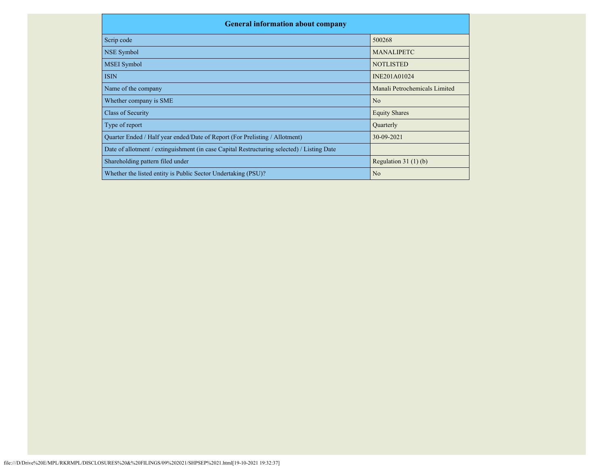| <b>General information about company</b>                                                   |                               |
|--------------------------------------------------------------------------------------------|-------------------------------|
| Scrip code                                                                                 | 500268                        |
| NSE Symbol                                                                                 | <b>MANALIPETC</b>             |
| <b>MSEI</b> Symbol                                                                         | <b>NOTLISTED</b>              |
| <b>ISIN</b>                                                                                | INE201A01024                  |
| Name of the company                                                                        | Manali Petrochemicals Limited |
| Whether company is SME                                                                     | N <sub>o</sub>                |
| Class of Security                                                                          | <b>Equity Shares</b>          |
| Type of report                                                                             | Quarterly                     |
| Quarter Ended / Half year ended/Date of Report (For Prelisting / Allotment)                | 30-09-2021                    |
| Date of allotment / extinguishment (in case Capital Restructuring selected) / Listing Date |                               |
| Shareholding pattern filed under                                                           | Regulation $31(1)(b)$         |
| Whether the listed entity is Public Sector Undertaking (PSU)?                              | N <sub>o</sub>                |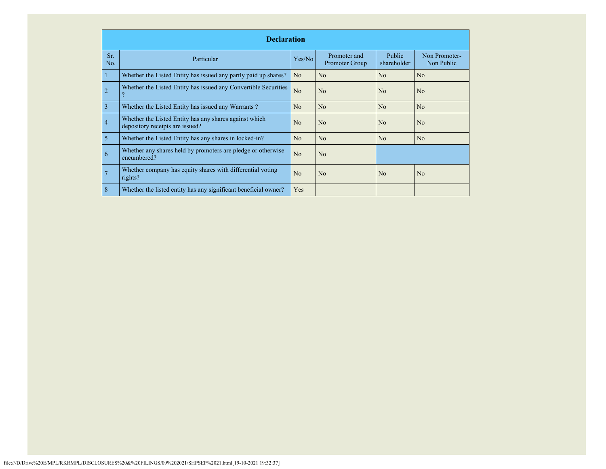|            | <b>Declaration</b>                                                                        |                |                                |                              |                             |  |  |  |  |  |
|------------|-------------------------------------------------------------------------------------------|----------------|--------------------------------|------------------------------|-----------------------------|--|--|--|--|--|
| Sr.<br>No. | Particular                                                                                | Yes/No         | Promoter and<br>Promoter Group | <b>Public</b><br>shareholder | Non Promoter-<br>Non Public |  |  |  |  |  |
|            | Whether the Listed Entity has issued any partly paid up shares?                           | N <sub>o</sub> | N <sub>o</sub>                 | No                           | N <sub>o</sub>              |  |  |  |  |  |
|            | Whether the Listed Entity has issued any Convertible Securities                           | No             | N <sub>o</sub>                 | No                           | N <sub>o</sub>              |  |  |  |  |  |
| 3          | Whether the Listed Entity has issued any Warrants?                                        | N <sub>o</sub> | N <sub>o</sub>                 | No                           | N <sub>o</sub>              |  |  |  |  |  |
| 4          | Whether the Listed Entity has any shares against which<br>depository receipts are issued? | N <sub>o</sub> | N <sub>o</sub>                 | No                           | N <sub>o</sub>              |  |  |  |  |  |
| 5          | Whether the Listed Entity has any shares in locked-in?                                    | N <sub>o</sub> | N <sub>o</sub>                 | No                           | N <sub>o</sub>              |  |  |  |  |  |
| 6          | Whether any shares held by promoters are pledge or otherwise<br>encumbered?               | N <sub>o</sub> | N <sub>o</sub>                 |                              |                             |  |  |  |  |  |
|            | Whether company has equity shares with differential voting<br>rights?                     | No             | N <sub>o</sub>                 | No                           | N <sub>o</sub>              |  |  |  |  |  |
| 8          | Whether the listed entity has any significant beneficial owner?                           | Yes            |                                |                              |                             |  |  |  |  |  |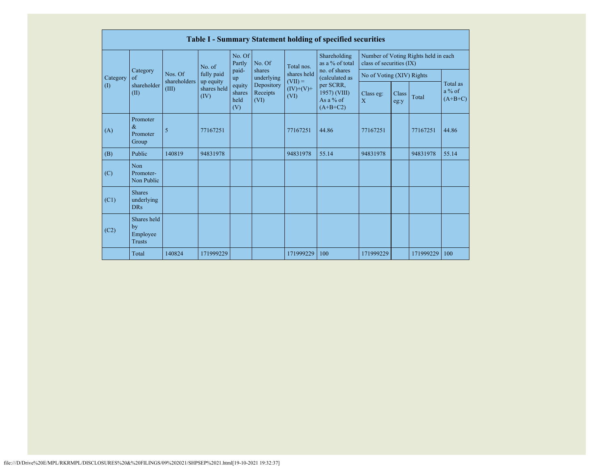|          | Table I - Summary Statement holding of specified securities |                                                       |             |                                 |                                |                                  |                                                        |                                                                  |               |           |                                   |  |  |
|----------|-------------------------------------------------------------|-------------------------------------------------------|-------------|---------------------------------|--------------------------------|----------------------------------|--------------------------------------------------------|------------------------------------------------------------------|---------------|-----------|-----------------------------------|--|--|
|          |                                                             | No. of                                                |             | No. Of<br>Partly                | No. Of                         | Total nos.                       | Shareholding<br>as a % of total                        | Number of Voting Rights held in each<br>class of securities (IX) |               |           |                                   |  |  |
| Category | Category<br>of<br>shareholder<br>(II)                       | Nos. Of<br>shareholders<br>up equity<br>(III)<br>(IV) | fully paid  | paid-<br>up                     | shares<br>underlying           | shares held                      | no. of shares<br>(calculated as                        | No of Voting (XIV) Rights                                        |               |           |                                   |  |  |
| (I)      |                                                             |                                                       | shares held | equity<br>shares<br>held<br>(V) | Depository<br>Receipts<br>(VI) | $(VII) =$<br>$(IV)+(V)+$<br>(VI) | per SCRR,<br>1957) (VIII)<br>As a $%$ of<br>$(A+B+C2)$ | Class eg:<br>$\overline{X}$                                      | Class<br>eg:y | Total     | Total as<br>$a\%$ of<br>$(A+B+C)$ |  |  |
| (A)      | Promoter<br>$\&$<br>Promoter<br>Group                       | 5                                                     | 77167251    |                                 |                                | 77167251                         | 44.86                                                  | 77167251                                                         |               | 77167251  | 44.86                             |  |  |
| (B)      | Public                                                      | 140819                                                | 94831978    |                                 |                                | 94831978                         | 55.14                                                  | 94831978                                                         |               | 94831978  | 55.14                             |  |  |
| (C)      | Non<br>Promoter-<br>Non Public                              |                                                       |             |                                 |                                |                                  |                                                        |                                                                  |               |           |                                   |  |  |
| (C1)     | <b>Shares</b><br>underlying<br><b>DRs</b>                   |                                                       |             |                                 |                                |                                  |                                                        |                                                                  |               |           |                                   |  |  |
| (C2)     | Shares held<br>by<br>Employee<br><b>Trusts</b>              |                                                       |             |                                 |                                |                                  |                                                        |                                                                  |               |           |                                   |  |  |
|          | Total                                                       | 140824                                                | 171999229   |                                 |                                | 171999229                        | 100                                                    | 171999229                                                        |               | 171999229 | 100                               |  |  |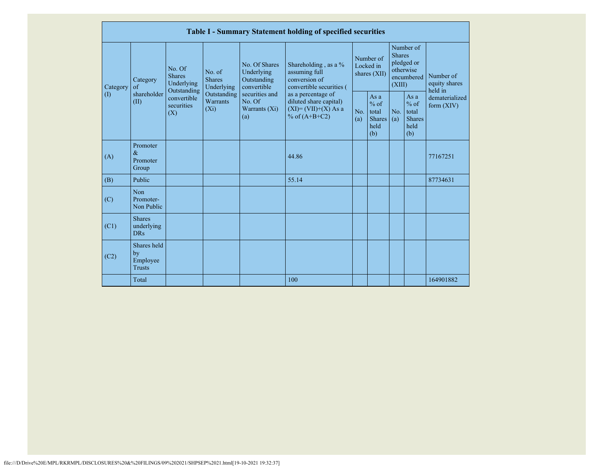|           |                                                |                                                 |                                       |                                                           | Table I - Summary Statement holding of specified securities                                |                                        |                                                        |                                                                               |                                                           |                                       |
|-----------|------------------------------------------------|-------------------------------------------------|---------------------------------------|-----------------------------------------------------------|--------------------------------------------------------------------------------------------|----------------------------------------|--------------------------------------------------------|-------------------------------------------------------------------------------|-----------------------------------------------------------|---------------------------------------|
| Category  | Category<br>of                                 | No. Of<br><b>Shares</b><br>Underlying           | No. of<br><b>Shares</b><br>Underlying | No. Of Shares<br>Underlying<br>Outstanding<br>convertible | Shareholding, as a %<br>assuming full<br>conversion of<br>convertible securities (         | Number of<br>Locked in<br>shares (XII) |                                                        | Number of<br><b>Shares</b><br>pledged or<br>otherwise<br>encumbered<br>(XIII) |                                                           | Number of<br>equity shares<br>held in |
| $\rm (I)$ | shareholder<br>(II)                            | Outstanding<br>convertible<br>securities<br>(X) | Outstanding<br>Warrants<br>$(X_i)$    | securities and<br>No. Of<br>Warrants $(X_i)$<br>(a)       | as a percentage of<br>diluted share capital)<br>$(XI) = (VII)+(X) As a$<br>% of $(A+B+C2)$ | No.<br>(a)                             | Asa<br>$%$ of<br>total<br><b>Shares</b><br>held<br>(b) | No.<br>(a)                                                                    | As $a$<br>$%$ of<br>total<br><b>Shares</b><br>held<br>(b) | dematerialized<br>form $(XIV)$        |
| (A)       | Promoter<br>$\&$<br>Promoter<br>Group          |                                                 |                                       |                                                           | 44.86                                                                                      |                                        |                                                        |                                                                               |                                                           | 77167251                              |
| (B)       | Public                                         |                                                 |                                       |                                                           | 55.14                                                                                      |                                        |                                                        |                                                                               |                                                           | 87734631                              |
| (C)       | Non<br>Promoter-<br>Non Public                 |                                                 |                                       |                                                           |                                                                                            |                                        |                                                        |                                                                               |                                                           |                                       |
| (C1)      | <b>Shares</b><br>underlying<br><b>DRs</b>      |                                                 |                                       |                                                           |                                                                                            |                                        |                                                        |                                                                               |                                                           |                                       |
| (C2)      | Shares held<br>by<br>Employee<br><b>Trusts</b> |                                                 |                                       |                                                           |                                                                                            |                                        |                                                        |                                                                               |                                                           |                                       |
|           | Total                                          |                                                 |                                       |                                                           | 100                                                                                        |                                        |                                                        |                                                                               |                                                           | 164901882                             |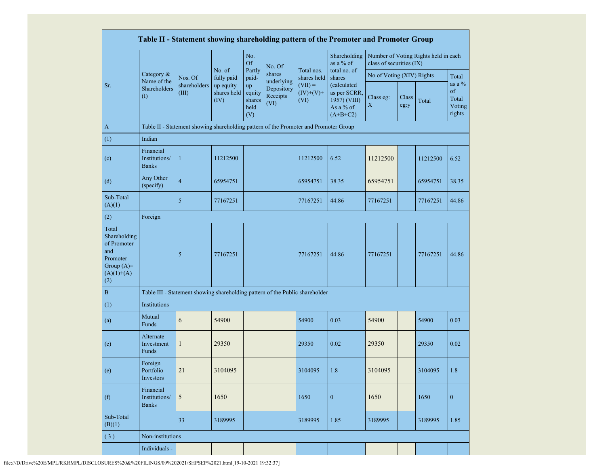|                                                                                                |                                            |                                                                                      |                                                          |                                       |                                |                                  | Table II - Statement showing shareholding pattern of the Promoter and Promoter Group |                           |               |                                      |                                              |  |
|------------------------------------------------------------------------------------------------|--------------------------------------------|--------------------------------------------------------------------------------------|----------------------------------------------------------|---------------------------------------|--------------------------------|----------------------------------|--------------------------------------------------------------------------------------|---------------------------|---------------|--------------------------------------|----------------------------------------------|--|
|                                                                                                |                                            |                                                                                      |                                                          | No.<br><b>Of</b>                      | No. Of                         |                                  | Shareholding<br>as a % of                                                            | class of securities (IX)  |               | Number of Voting Rights held in each |                                              |  |
|                                                                                                | Category &<br>Name of the                  | Nos. Of                                                                              | No. of<br>fully paid<br>up equity<br>shares held<br>(IV) | Partly<br>paid-                       | shares<br>underlying           | Total nos.<br>shares held        | total no. of<br>shares                                                               | No of Voting (XIV) Rights |               |                                      | Total                                        |  |
| Sr.                                                                                            | Shareholders<br>$\left( \mathrm{I}\right)$ | shareholders<br>(III)                                                                |                                                          | up<br>equity<br>shares<br>held<br>(V) | Depository<br>Receipts<br>(VI) | $(VII) =$<br>$(IV)+(V)+$<br>(VI) | (calculated<br>as per SCRR,<br>1957) (VIII)<br>As a % of<br>$(A+B+C2)$               | Class eg:<br>X            | Class<br>eg:y | Total                                | as a $\%$<br>of<br>Total<br>Voting<br>rights |  |
| A                                                                                              |                                            | Table II - Statement showing shareholding pattern of the Promoter and Promoter Group |                                                          |                                       |                                |                                  |                                                                                      |                           |               |                                      |                                              |  |
| (1)                                                                                            | Indian                                     |                                                                                      |                                                          |                                       |                                |                                  |                                                                                      |                           |               |                                      |                                              |  |
| (c)                                                                                            | Financial<br>Institutions/<br><b>Banks</b> | $\mathbf{1}$                                                                         | 11212500                                                 |                                       |                                | 11212500                         | 6.52                                                                                 | 11212500                  |               | 11212500                             | 6.52                                         |  |
| (d)                                                                                            | Any Other<br>(specify)                     | $\overline{\mathbf{4}}$                                                              | 65954751                                                 |                                       |                                | 65954751                         | 38.35                                                                                | 65954751                  |               | 65954751                             | 38.35                                        |  |
| Sub-Total<br>(A)(1)                                                                            |                                            | 5                                                                                    | 77167251                                                 |                                       |                                | 77167251                         | 44.86                                                                                | 77167251                  |               | 77167251                             | 44.86                                        |  |
| (2)                                                                                            | Foreign                                    |                                                                                      |                                                          |                                       |                                |                                  |                                                                                      |                           |               |                                      |                                              |  |
| Total<br>Shareholding<br>of Promoter<br>and<br>Promoter<br>Group $(A)=$<br>$(A)(1)+(A)$<br>(2) |                                            | 5                                                                                    | 77167251                                                 |                                       |                                | 77167251                         | 44.86                                                                                | 77167251                  |               | 77167251                             | 44.86                                        |  |
| $\bf{B}$                                                                                       |                                            | Table III - Statement showing shareholding pattern of the Public shareholder         |                                                          |                                       |                                |                                  |                                                                                      |                           |               |                                      |                                              |  |
| (1)                                                                                            | Institutions                               |                                                                                      |                                                          |                                       |                                |                                  |                                                                                      |                           |               |                                      |                                              |  |
| (a)                                                                                            | Mutual<br>Funds                            | 6                                                                                    | 54900                                                    |                                       |                                | 54900                            | 0.03                                                                                 | 54900                     |               | 54900                                | 0.03                                         |  |
| (c)                                                                                            | Alternate<br>Investment<br>Funds           | $\mathbf{1}$                                                                         | 29350                                                    |                                       |                                | 29350                            | 0.02                                                                                 | 29350                     |               | 29350                                | 0.02                                         |  |
| (e)                                                                                            | Foreign<br>Portfolio<br>Investors          | 21                                                                                   | 3104095                                                  |                                       |                                | 3104095                          | 1.8                                                                                  | 3104095                   |               | 3104095                              | 1.8                                          |  |
| (f)                                                                                            | Financial<br>Institutions/<br><b>Banks</b> | $\sqrt{5}$                                                                           | 1650                                                     |                                       |                                | 1650                             | $\mathbf{0}$                                                                         | 1650                      |               | 1650                                 | $\boldsymbol{0}$                             |  |
| Sub-Total<br>(B)(1)                                                                            |                                            | 33                                                                                   | 3189995                                                  |                                       |                                | 3189995                          | 1.85                                                                                 | 3189995                   |               | 3189995                              | 1.85                                         |  |
| (3)                                                                                            | Non-institutions                           |                                                                                      |                                                          |                                       |                                |                                  |                                                                                      |                           |               |                                      |                                              |  |
|                                                                                                | Individuals -                              |                                                                                      |                                                          |                                       |                                |                                  |                                                                                      |                           |               |                                      |                                              |  |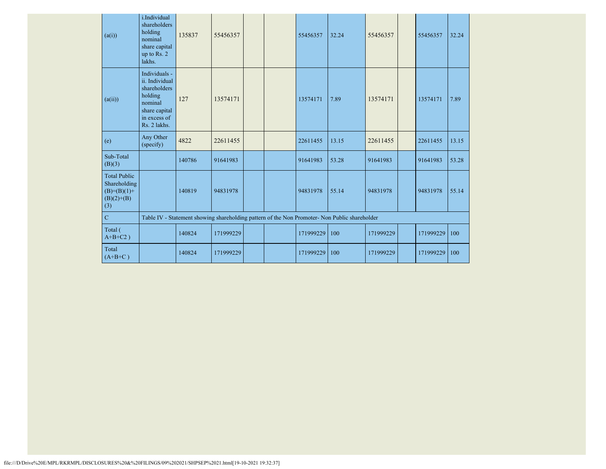| (a(i))                                                                        | i.Individual<br>shareholders<br>holding<br>nominal<br>share capital<br>up to Rs. 2<br>lakhs.                           | 135837                                                                                        | 55456357  |  |  | 55456357  | 32.24 | 55456357  |  | 55456357  | 32.24 |
|-------------------------------------------------------------------------------|------------------------------------------------------------------------------------------------------------------------|-----------------------------------------------------------------------------------------------|-----------|--|--|-----------|-------|-----------|--|-----------|-------|
| (a(ii))                                                                       | Individuals -<br>ii. Individual<br>shareholders<br>holding<br>nominal<br>share capital<br>in excess of<br>Rs. 2 lakhs. | 127                                                                                           | 13574171  |  |  | 13574171  | 7.89  | 13574171  |  | 13574171  | 7.89  |
| (e)                                                                           | Any Other<br>(specify)                                                                                                 | 4822                                                                                          | 22611455  |  |  | 22611455  | 13.15 | 22611455  |  | 22611455  | 13.15 |
| Sub-Total<br>(B)(3)                                                           |                                                                                                                        | 140786                                                                                        | 91641983  |  |  | 91641983  | 53.28 | 91641983  |  | 91641983  | 53.28 |
| <b>Total Public</b><br>Shareholding<br>$(B)= (B)(1) +$<br>$(B)(2)+(B)$<br>(3) |                                                                                                                        | 140819                                                                                        | 94831978  |  |  | 94831978  | 55.14 | 94831978  |  | 94831978  | 55.14 |
| $\mathbf C$                                                                   |                                                                                                                        | Table IV - Statement showing shareholding pattern of the Non Promoter- Non Public shareholder |           |  |  |           |       |           |  |           |       |
| Total (<br>$A+B+C2$ )                                                         |                                                                                                                        | 140824                                                                                        | 171999229 |  |  | 171999229 | 100   | 171999229 |  | 171999229 | 100   |
| Total<br>$(A+B+C)$                                                            |                                                                                                                        | 140824                                                                                        | 171999229 |  |  | 171999229 | 100   | 171999229 |  | 171999229 | 100   |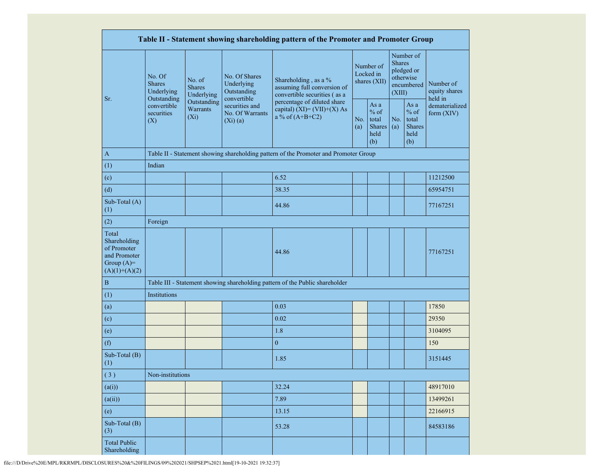|                                                                                         |                                                                                                                                |                         |                                                             | Table II - Statement showing shareholding pattern of the Promoter and Promoter Group |  |                                                  |                         |                                                    |                                       |  |
|-----------------------------------------------------------------------------------------|--------------------------------------------------------------------------------------------------------------------------------|-------------------------|-------------------------------------------------------------|--------------------------------------------------------------------------------------|--|--------------------------------------------------|-------------------------|----------------------------------------------------|---------------------------------------|--|
|                                                                                         | No. Of<br>No. of<br><b>Shares</b><br><b>Shares</b><br>Underlying<br>Outstanding<br>convertible<br>securities<br>$(X_i)$<br>(X) | Underlying              | No. Of Shares<br>Underlying<br>Outstanding                  | Shareholding, as a %<br>assuming full conversion of<br>convertible securities (as a  |  | Number of<br>Locked in<br>shares (XII)           | <b>Shares</b><br>(XIII) | Number of<br>pledged or<br>otherwise<br>encumbered | Number of<br>equity shares<br>held in |  |
| Sr.                                                                                     |                                                                                                                                | Outstanding<br>Warrants | convertible<br>securities and<br>No. Of Warrants<br>(Xi)(a) | percentage of diluted share<br>capital) $(XI) = (VII)+(X) As$<br>a % of $(A+B+C2)$   |  | As a<br>$%$ of<br>total<br>Shares<br>held<br>(b) | No.<br>(a)              | As a<br>$%$ of<br>total<br>Shares<br>held<br>(b)   | dematerialized<br>form (XIV)          |  |
| $\mathbf{A}$                                                                            |                                                                                                                                |                         |                                                             | Table II - Statement showing shareholding pattern of the Promoter and Promoter Group |  |                                                  |                         |                                                    |                                       |  |
| (1)                                                                                     | Indian                                                                                                                         |                         |                                                             |                                                                                      |  |                                                  |                         |                                                    |                                       |  |
| (c)                                                                                     |                                                                                                                                |                         |                                                             | 6.52                                                                                 |  |                                                  |                         |                                                    | 11212500                              |  |
| (d)                                                                                     |                                                                                                                                |                         |                                                             | 38.35                                                                                |  |                                                  |                         |                                                    | 65954751                              |  |
| Sub-Total (A)<br>(1)                                                                    |                                                                                                                                |                         |                                                             | 44.86                                                                                |  |                                                  |                         |                                                    | 77167251                              |  |
| (2)                                                                                     | Foreign                                                                                                                        |                         |                                                             |                                                                                      |  |                                                  |                         |                                                    |                                       |  |
| Total<br>Shareholding<br>of Promoter<br>and Promoter<br>Group $(A)=$<br>$(A)(1)+(A)(2)$ |                                                                                                                                |                         |                                                             | 44.86                                                                                |  |                                                  |                         |                                                    | 77167251                              |  |
| $\, {\bf B}$                                                                            |                                                                                                                                |                         |                                                             | Table III - Statement showing shareholding pattern of the Public shareholder         |  |                                                  |                         |                                                    |                                       |  |
| (1)                                                                                     | Institutions                                                                                                                   |                         |                                                             |                                                                                      |  |                                                  |                         |                                                    |                                       |  |
| (a)                                                                                     |                                                                                                                                |                         |                                                             | 0.03                                                                                 |  |                                                  |                         |                                                    | 17850                                 |  |
| (c)                                                                                     |                                                                                                                                |                         |                                                             | 0.02                                                                                 |  |                                                  |                         |                                                    | 29350                                 |  |
| (e)                                                                                     |                                                                                                                                |                         |                                                             | 1.8                                                                                  |  |                                                  |                         |                                                    | 3104095                               |  |
| (f)                                                                                     |                                                                                                                                |                         |                                                             | $\boldsymbol{0}$                                                                     |  |                                                  |                         |                                                    | 150                                   |  |
| Sub-Total (B)<br>(1)                                                                    |                                                                                                                                |                         |                                                             | 1.85                                                                                 |  |                                                  |                         |                                                    | 3151445                               |  |
| (3)                                                                                     | Non-institutions                                                                                                               |                         |                                                             |                                                                                      |  |                                                  |                         |                                                    |                                       |  |
| (a(i))                                                                                  |                                                                                                                                |                         |                                                             | 32.24                                                                                |  |                                                  |                         |                                                    | 48917010                              |  |
| (a(ii))                                                                                 |                                                                                                                                |                         |                                                             | 7.89                                                                                 |  |                                                  |                         |                                                    | 13499261                              |  |
| (e)                                                                                     |                                                                                                                                |                         |                                                             | 13.15                                                                                |  |                                                  |                         |                                                    | 22166915                              |  |
| Sub-Total (B)<br>(3)                                                                    |                                                                                                                                |                         |                                                             | 53.28                                                                                |  |                                                  |                         |                                                    | 84583186                              |  |
| <b>Total Public</b><br>Shareholding                                                     |                                                                                                                                |                         |                                                             |                                                                                      |  |                                                  |                         |                                                    |                                       |  |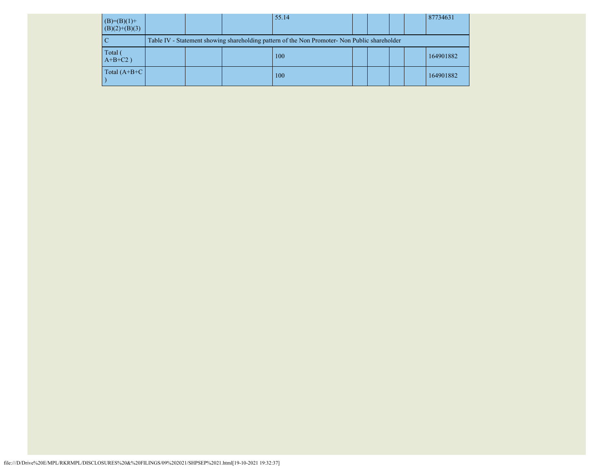| $(B)=(B)(1)+$<br>$(B)(2)+(B)(3)$ |  | 55.14                                                                                         |  |  | 87734631  |
|----------------------------------|--|-----------------------------------------------------------------------------------------------|--|--|-----------|
|                                  |  | Table IV - Statement showing shareholding pattern of the Non Promoter- Non Public shareholder |  |  |           |
| Total<br>$A+B+C2$ )              |  | 100                                                                                           |  |  | 164901882 |
| Total $(A+B+C)$                  |  | 100                                                                                           |  |  | 164901882 |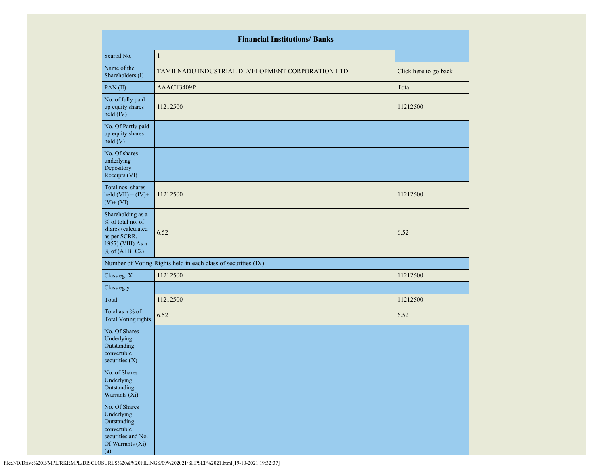|                                                                                                                      | <b>Financial Institutions/ Banks</b>                          |                       |
|----------------------------------------------------------------------------------------------------------------------|---------------------------------------------------------------|-----------------------|
| Searial No.                                                                                                          | $\mathbf{1}$                                                  |                       |
| Name of the<br>Shareholders (I)                                                                                      | TAMILNADU INDUSTRIAL DEVELOPMENT CORPORATION LTD              | Click here to go back |
| PAN(II)                                                                                                              | AAACT3409P                                                    | Total                 |
| No. of fully paid<br>up equity shares<br>held (IV)                                                                   | 11212500                                                      | 11212500              |
| No. Of Partly paid-<br>up equity shares<br>held(V)                                                                   |                                                               |                       |
| No. Of shares<br>underlying<br>Depository<br>Receipts (VI)                                                           |                                                               |                       |
| Total nos. shares<br>held $(VII) = (IV) +$<br>$(V)$ + $(VI)$                                                         | 11212500                                                      | 11212500              |
| Shareholding as a<br>% of total no. of<br>shares (calculated<br>as per SCRR,<br>1957) (VIII) As a<br>% of $(A+B+C2)$ | 6.52                                                          | 6.52                  |
|                                                                                                                      | Number of Voting Rights held in each class of securities (IX) |                       |
| Class eg: X                                                                                                          | 11212500                                                      | 11212500              |
| Class eg:y                                                                                                           |                                                               |                       |
| Total                                                                                                                | 11212500                                                      | 11212500              |
| Total as a % of<br><b>Total Voting rights</b>                                                                        | 6.52                                                          | 6.52                  |
| No. Of Shares<br>Underlying<br>Outstanding<br>convertible<br>securities $(X)$                                        |                                                               |                       |
| No. of Shares<br>Underlying<br>Outstanding<br>Warrants (Xi)                                                          |                                                               |                       |
| No. Of Shares<br>Underlying<br>Outstanding<br>convertible<br>securities and No.<br>Of Warrants (Xi)<br>(a)           |                                                               |                       |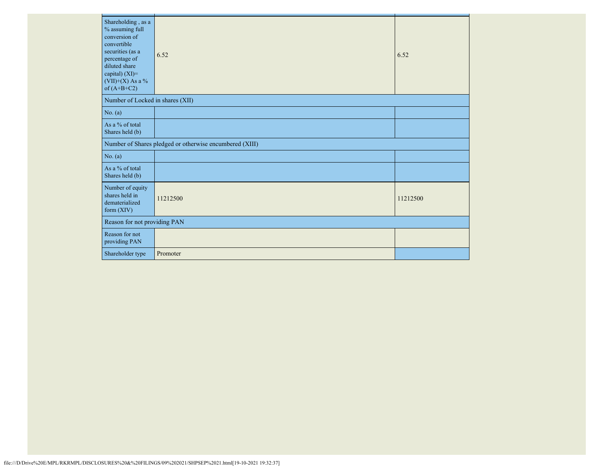| Shareholding, as a<br>% assuming full<br>conversion of<br>convertible<br>securities (as a<br>percentage of<br>diluted share<br>capital) (XI)=<br>$(VII)+(X)$ As a %<br>of $(A+B+C2)$ | 6.52                                                    | 6.52     |
|--------------------------------------------------------------------------------------------------------------------------------------------------------------------------------------|---------------------------------------------------------|----------|
| Number of Locked in shares (XII)                                                                                                                                                     |                                                         |          |
| No. (a)                                                                                                                                                                              |                                                         |          |
| As a % of total<br>Shares held (b)                                                                                                                                                   |                                                         |          |
|                                                                                                                                                                                      | Number of Shares pledged or otherwise encumbered (XIII) |          |
| No. (a)                                                                                                                                                                              |                                                         |          |
| As a % of total<br>Shares held (b)                                                                                                                                                   |                                                         |          |
| Number of equity<br>shares held in<br>dematerialized<br>form $(XIV)$                                                                                                                 | 11212500                                                | 11212500 |
| Reason for not providing PAN                                                                                                                                                         |                                                         |          |
| Reason for not<br>providing PAN                                                                                                                                                      |                                                         |          |
| Shareholder type                                                                                                                                                                     | Promoter                                                |          |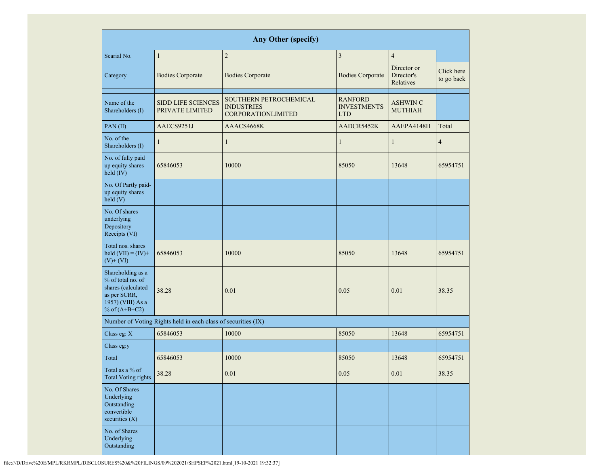|                                                                                                                      | <b>Any Other (specify)</b>                                    |                                                                          |                                                    |                                        |                          |  |  |  |  |  |  |  |
|----------------------------------------------------------------------------------------------------------------------|---------------------------------------------------------------|--------------------------------------------------------------------------|----------------------------------------------------|----------------------------------------|--------------------------|--|--|--|--|--|--|--|
| Searial No.                                                                                                          | $\mathbf{1}$                                                  | $\sqrt{2}$                                                               | 3                                                  | $\overline{4}$                         |                          |  |  |  |  |  |  |  |
| Category                                                                                                             | <b>Bodies Corporate</b>                                       | <b>Bodies Corporate</b>                                                  | <b>Bodies Corporate</b>                            | Director or<br>Director's<br>Relatives | Click here<br>to go back |  |  |  |  |  |  |  |
| Name of the<br>Shareholders (I)                                                                                      | <b>SIDD LIFE SCIENCES</b><br>PRIVATE LIMITED                  | SOUTHERN PETROCHEMICAL<br><b>INDUSTRIES</b><br><b>CORPORATIONLIMITED</b> | <b>RANFORD</b><br><b>INVESTMENTS</b><br><b>LTD</b> | <b>ASHWIN C</b><br><b>MUTHIAH</b>      |                          |  |  |  |  |  |  |  |
| PAN(II)                                                                                                              | AAECS9251J                                                    | AAACS4668K                                                               | AADCR5452K                                         | AAEPA4148H                             | Total                    |  |  |  |  |  |  |  |
| No. of the<br>Shareholders (I)                                                                                       | $\mathbf{1}$                                                  | $\mathbf{1}$                                                             | $\mathbf{1}$                                       | $\mathbf{1}$                           | $\overline{4}$           |  |  |  |  |  |  |  |
| No. of fully paid<br>up equity shares<br>held (IV)                                                                   | 65846053                                                      | 10000                                                                    | 85050                                              | 13648                                  | 65954751                 |  |  |  |  |  |  |  |
| No. Of Partly paid-<br>up equity shares<br>held(V)                                                                   |                                                               |                                                                          |                                                    |                                        |                          |  |  |  |  |  |  |  |
| No. Of shares<br>underlying<br>Depository<br>Receipts (VI)                                                           |                                                               |                                                                          |                                                    |                                        |                          |  |  |  |  |  |  |  |
| Total nos. shares<br>held $(VII) = (IV) +$<br>$(V)$ + $(VI)$                                                         | 65846053                                                      | 10000                                                                    | 85050                                              | 13648                                  | 65954751                 |  |  |  |  |  |  |  |
| Shareholding as a<br>% of total no. of<br>shares (calculated<br>as per SCRR,<br>1957) (VIII) As a<br>% of $(A+B+C2)$ | 38.28                                                         | 0.01                                                                     | 0.05                                               | 0.01                                   | 38.35                    |  |  |  |  |  |  |  |
|                                                                                                                      | Number of Voting Rights held in each class of securities (IX) |                                                                          |                                                    |                                        |                          |  |  |  |  |  |  |  |
| Class eg: X                                                                                                          | 65846053                                                      | 10000                                                                    | 85050                                              | 13648                                  | 65954751                 |  |  |  |  |  |  |  |
| Class eg:y                                                                                                           |                                                               |                                                                          |                                                    |                                        |                          |  |  |  |  |  |  |  |
| Total                                                                                                                | 65846053                                                      | 10000                                                                    | 85050                                              | 13648                                  | 65954751                 |  |  |  |  |  |  |  |
| Total as a % of<br><b>Total Voting rights</b>                                                                        | 38.28                                                         | 0.01                                                                     | 0.05                                               | 0.01                                   | 38.35                    |  |  |  |  |  |  |  |
| No. Of Shares<br>Underlying<br>Outstanding<br>convertible<br>securities $(X)$                                        |                                                               |                                                                          |                                                    |                                        |                          |  |  |  |  |  |  |  |
| No. of Shares<br>Underlying<br>Outstanding                                                                           |                                                               |                                                                          |                                                    |                                        |                          |  |  |  |  |  |  |  |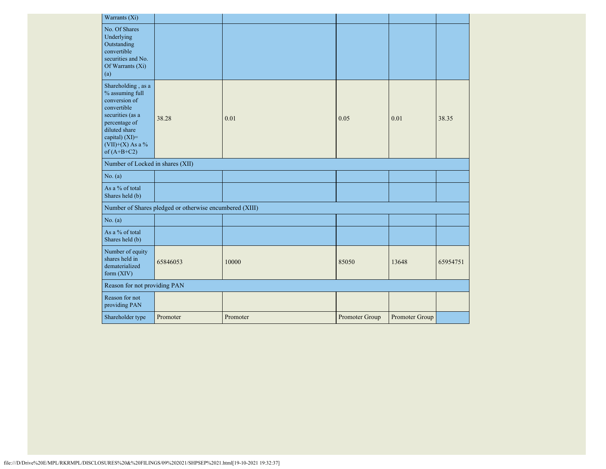| Warrants (Xi)                                                                                                                                                                      |                                                         |          |                |                |          |
|------------------------------------------------------------------------------------------------------------------------------------------------------------------------------------|---------------------------------------------------------|----------|----------------|----------------|----------|
| No. Of Shares<br>Underlying<br>Outstanding<br>convertible<br>securities and No.<br>Of Warrants $(X_i)$<br>(a)                                                                      |                                                         |          |                |                |          |
| Shareholding, as a<br>% assuming full<br>conversion of<br>convertible<br>securities (as a<br>percentage of<br>diluted share<br>capital) (XI)=<br>(VII)+(X) As a %<br>of $(A+B+C2)$ | 38.28                                                   | 0.01     | 0.05           | 0.01           | 38.35    |
| Number of Locked in shares (XII)                                                                                                                                                   |                                                         |          |                |                |          |
| No. (a)                                                                                                                                                                            |                                                         |          |                |                |          |
| As a % of total<br>Shares held (b)                                                                                                                                                 |                                                         |          |                |                |          |
|                                                                                                                                                                                    | Number of Shares pledged or otherwise encumbered (XIII) |          |                |                |          |
| No. (a)                                                                                                                                                                            |                                                         |          |                |                |          |
| As a % of total<br>Shares held (b)                                                                                                                                                 |                                                         |          |                |                |          |
| Number of equity<br>shares held in<br>dematerialized<br>form $(XIV)$                                                                                                               | 65846053                                                | 10000    | 85050          | 13648          | 65954751 |
| Reason for not providing PAN                                                                                                                                                       |                                                         |          |                |                |          |
| Reason for not<br>providing PAN                                                                                                                                                    |                                                         |          |                |                |          |
| Shareholder type                                                                                                                                                                   | Promoter                                                | Promoter | Promoter Group | Promoter Group |          |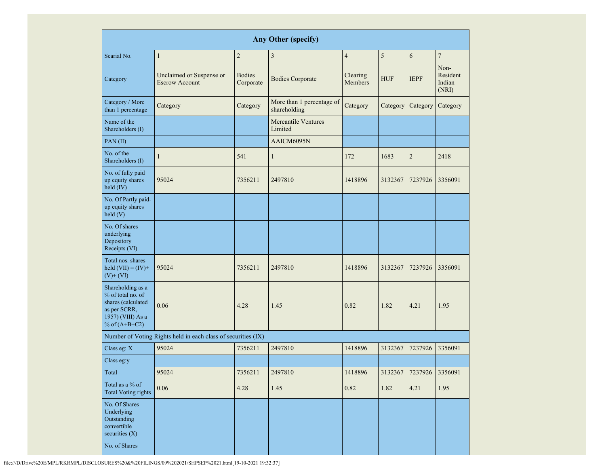| <b>Any Other (specify)</b>                                                                                           |                                                               |                            |                                           |                     |            |                         |                                     |
|----------------------------------------------------------------------------------------------------------------------|---------------------------------------------------------------|----------------------------|-------------------------------------------|---------------------|------------|-------------------------|-------------------------------------|
| Searial No.                                                                                                          | $\mathbf{1}$                                                  | $\overline{c}$             | $\overline{\mathbf{3}}$                   | $\overline{4}$      | 5          | 6                       | $\overline{7}$                      |
| Category                                                                                                             | Unclaimed or Suspense or<br><b>Escrow Account</b>             | <b>Bodies</b><br>Corporate | <b>Bodies Corporate</b>                   | Clearing<br>Members | <b>HUF</b> | <b>IEPF</b>             | Non-<br>Resident<br>Indian<br>(NRI) |
| Category / More<br>than 1 percentage                                                                                 | Category                                                      | Category                   | More than 1 percentage of<br>shareholding | Category            | Category   | Category                | Category                            |
| Name of the<br>Shareholders (I)                                                                                      |                                                               |                            | <b>Mercantile Ventures</b><br>Limited     |                     |            |                         |                                     |
| PAN(II)                                                                                                              |                                                               |                            | AAICM6095N                                |                     |            |                         |                                     |
| No. of the<br>Shareholders (I)                                                                                       | $\mathbf{1}$                                                  | 541                        | $\mathbf{1}$                              | 172                 | 1683       | $\overline{2}$          | 2418                                |
| No. of fully paid<br>up equity shares<br>held (IV)                                                                   | 95024                                                         | 7356211                    | 2497810                                   | 1418896             | 3132367    | 7237926                 | 3356091                             |
| No. Of Partly paid-<br>up equity shares<br>held(V)                                                                   |                                                               |                            |                                           |                     |            |                         |                                     |
| No. Of shares<br>underlying<br>Depository<br>Receipts (VI)                                                           |                                                               |                            |                                           |                     |            |                         |                                     |
| Total nos. shares<br>held $(VII) = (IV) +$<br>$(V)$ + $(VI)$                                                         | 95024                                                         | 7356211                    | 2497810                                   | 1418896             | 3132367    | 7237926                 | 3356091                             |
| Shareholding as a<br>% of total no. of<br>shares (calculated<br>as per SCRR,<br>1957) (VIII) As a<br>% of $(A+B+C2)$ | 0.06                                                          | 4.28                       | 1.45                                      | 0.82                | 1.82       | 4.21                    | 1.95                                |
|                                                                                                                      | Number of Voting Rights held in each class of securities (IX) |                            |                                           |                     |            |                         |                                     |
| Class eg: X                                                                                                          | 95024                                                         | 7356211                    | 2497810                                   | 1418896             | 3132367    | 7237926                 | 3356091                             |
| Class eg:y                                                                                                           |                                                               |                            |                                           |                     |            |                         |                                     |
| Total                                                                                                                | 95024                                                         | 7356211                    | 2497810                                   | 1418896             |            | 3132367 7237926 3356091 |                                     |
| Total as a % of<br><b>Total Voting rights</b>                                                                        | $0.06\,$                                                      | 4.28                       | 1.45                                      | 0.82                | 1.82       | 4.21                    | 1.95                                |
| No. Of Shares<br>Underlying<br>Outstanding<br>convertible<br>securities $(X)$                                        |                                                               |                            |                                           |                     |            |                         |                                     |
| No. of Shares                                                                                                        |                                                               |                            |                                           |                     |            |                         |                                     |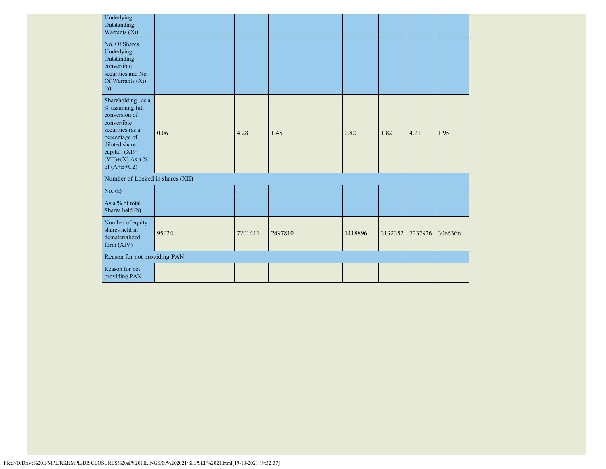| Underlying<br>Outstanding<br>Warrants (Xi)                                                                                                                                         |       |         |         |         |         |         |         |
|------------------------------------------------------------------------------------------------------------------------------------------------------------------------------------|-------|---------|---------|---------|---------|---------|---------|
| No. Of Shares<br>Underlying<br>Outstanding<br>convertible<br>securities and No.<br>Of Warrants (Xi)<br>(a)                                                                         |       |         |         |         |         |         |         |
| Shareholding, as a<br>% assuming full<br>conversion of<br>convertible<br>securities (as a<br>percentage of<br>diluted share<br>capital) (XI)=<br>(VII)+(X) As a %<br>of $(A+B+C2)$ | 0.06  | 4.28    | 1.45    | 0.82    | 1.82    | 4.21    | 1.95    |
| Number of Locked in shares (XII)                                                                                                                                                   |       |         |         |         |         |         |         |
| No. (a)                                                                                                                                                                            |       |         |         |         |         |         |         |
| As a % of total<br>Shares held (b)                                                                                                                                                 |       |         |         |         |         |         |         |
| Number of equity<br>shares held in<br>dematerialized<br>form $(XIV)$                                                                                                               | 95024 | 7201411 | 2497810 | 1418896 | 3132352 | 7237926 | 3066366 |
| Reason for not providing PAN                                                                                                                                                       |       |         |         |         |         |         |         |
| Reason for not<br>providing PAN                                                                                                                                                    |       |         |         |         |         |         |         |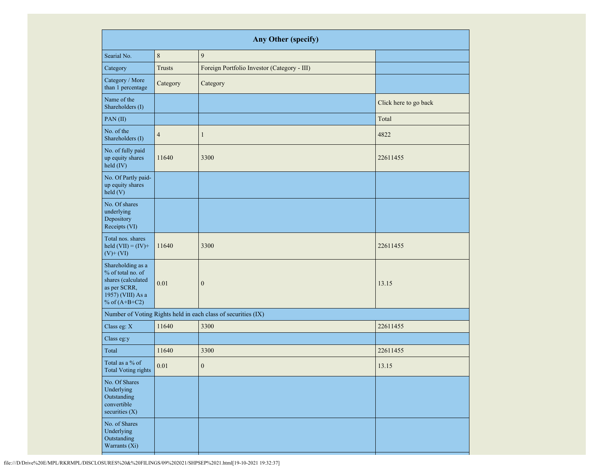| <b>Any Other (specify)</b>                                                                                           |                                                               |                                             |                       |  |  |  |
|----------------------------------------------------------------------------------------------------------------------|---------------------------------------------------------------|---------------------------------------------|-----------------------|--|--|--|
| Searial No.                                                                                                          | $\,8\,$                                                       | 9                                           |                       |  |  |  |
| Category                                                                                                             | <b>Trusts</b>                                                 | Foreign Portfolio Investor (Category - III) |                       |  |  |  |
| Category / More<br>than 1 percentage                                                                                 | Category                                                      | Category                                    |                       |  |  |  |
| Name of the<br>Shareholders (I)                                                                                      |                                                               |                                             | Click here to go back |  |  |  |
| PAN(II)                                                                                                              |                                                               |                                             | Total                 |  |  |  |
| No. of the<br>Shareholders (I)                                                                                       | $\overline{4}$                                                | $\mathbf{1}$                                | 4822                  |  |  |  |
| No. of fully paid<br>up equity shares<br>held (IV)                                                                   | 11640                                                         | 3300                                        | 22611455              |  |  |  |
| No. Of Partly paid-<br>up equity shares<br>held (V)                                                                  |                                                               |                                             |                       |  |  |  |
| No. Of shares<br>underlying<br>Depository<br>Receipts (VI)                                                           |                                                               |                                             |                       |  |  |  |
| Total nos. shares<br>held $(VII) = (IV) +$<br>$(V)$ + $(VI)$                                                         | 11640                                                         | 3300                                        | 22611455              |  |  |  |
| Shareholding as a<br>% of total no. of<br>shares (calculated<br>as per SCRR,<br>1957) (VIII) As a<br>% of $(A+B+C2)$ | 0.01                                                          | $\boldsymbol{0}$                            | 13.15                 |  |  |  |
|                                                                                                                      | Number of Voting Rights held in each class of securities (IX) |                                             |                       |  |  |  |
| Class eg: X                                                                                                          | 11640                                                         | 3300                                        | 22611455              |  |  |  |
| Class eg:y                                                                                                           |                                                               |                                             |                       |  |  |  |
| Total                                                                                                                | 11640                                                         | 3300                                        | 22611455              |  |  |  |
| Total as a % of<br>Total Voting rights                                                                               | $0.01\,$                                                      | $\boldsymbol{0}$                            | 13.15                 |  |  |  |
| No. Of Shares<br>Underlying<br>Outstanding<br>convertible<br>securities $(X)$                                        |                                                               |                                             |                       |  |  |  |
| No. of Shares<br>Underlying<br>Outstanding<br>Warrants (Xi)                                                          |                                                               |                                             |                       |  |  |  |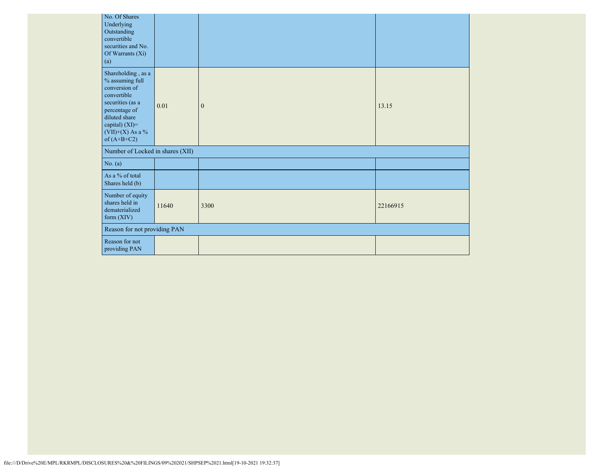| No. Of Shares<br>Underlying<br>Outstanding<br>convertible<br>securities and No.<br>Of Warrants (Xi)<br>(a)                                                                              |       |              |          |
|-----------------------------------------------------------------------------------------------------------------------------------------------------------------------------------------|-------|--------------|----------|
| Shareholding, as a<br>$\%$ assuming full<br>conversion of<br>convertible<br>securities (as a<br>percentage of<br>diluted share<br>capital) (XI)=<br>$(VII)+(X)$ As a %<br>of $(A+B+C2)$ | 0.01  | $\mathbf{0}$ | 13.15    |
| Number of Locked in shares (XII)                                                                                                                                                        |       |              |          |
| No. (a)                                                                                                                                                                                 |       |              |          |
| As a % of total<br>Shares held (b)                                                                                                                                                      |       |              |          |
| Number of equity<br>shares held in<br>dematerialized<br>form (XIV)                                                                                                                      | 11640 | 3300         | 22166915 |
| Reason for not providing PAN                                                                                                                                                            |       |              |          |
| Reason for not<br>providing PAN                                                                                                                                                         |       |              |          |